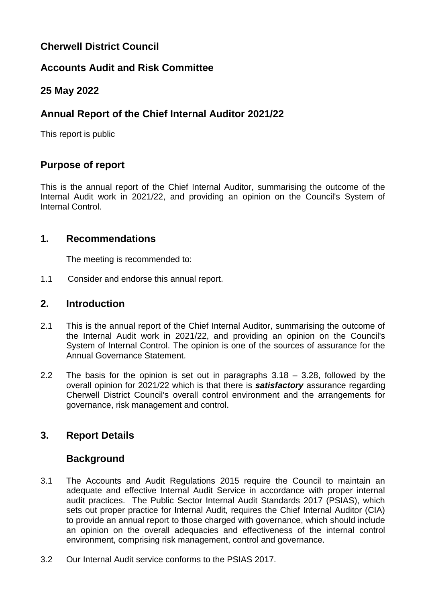# **Cherwell District Council**

## **Accounts Audit and Risk Committee**

## **25 May 2022**

# **Annual Report of the Chief Internal Auditor 2021/22**

This report is public

## **Purpose of report**

This is the annual report of the Chief Internal Auditor, summarising the outcome of the Internal Audit work in 2021/22, and providing an opinion on the Council's System of Internal Control.

### **1. Recommendations**

The meeting is recommended to:

1.1 Consider and endorse this annual report.

### **2. Introduction**

- 2.1 This is the annual report of the Chief Internal Auditor, summarising the outcome of the Internal Audit work in 2021/22, and providing an opinion on the Council's System of Internal Control. The opinion is one of the sources of assurance for the Annual Governance Statement.
- 2.2 The basis for the opinion is set out in paragraphs 3.18 3.28, followed by the overall opinion for 2021/22 which is that there is *satisfactory* assurance regarding Cherwell District Council's overall control environment and the arrangements for governance, risk management and control.

## **3. Report Details**

## **Background**

- 3.1 The Accounts and Audit Regulations 2015 require the Council to maintain an adequate and effective Internal Audit Service in accordance with proper internal audit practices. The Public Sector Internal Audit Standards 2017 (PSIAS), which sets out proper practice for Internal Audit, requires the Chief Internal Auditor (CIA) to provide an annual report to those charged with governance, which should include an opinion on the overall adequacies and effectiveness of the internal control environment, comprising risk management, control and governance.
- 3.2 Our Internal Audit service conforms to the PSIAS 2017.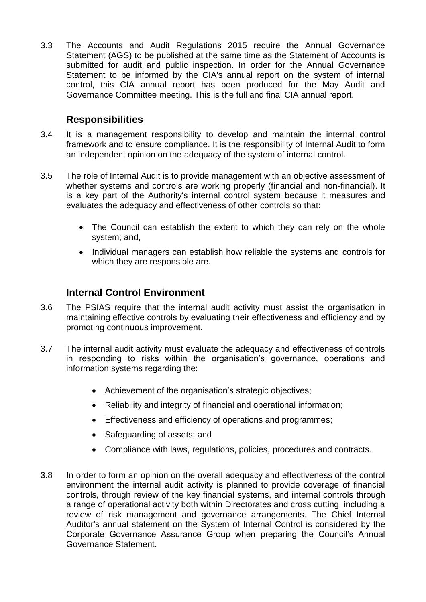3.3 The Accounts and Audit Regulations 2015 require the Annual Governance Statement (AGS) to be published at the same time as the Statement of Accounts is submitted for audit and public inspection. In order for the Annual Governance Statement to be informed by the CIA's annual report on the system of internal control, this CIA annual report has been produced for the May Audit and Governance Committee meeting. This is the full and final CIA annual report.

### **Responsibilities**

- 3.4 It is a management responsibility to develop and maintain the internal control framework and to ensure compliance. It is the responsibility of Internal Audit to form an independent opinion on the adequacy of the system of internal control.
- 3.5 The role of Internal Audit is to provide management with an objective assessment of whether systems and controls are working properly (financial and non-financial). It is a key part of the Authority's internal control system because it measures and evaluates the adequacy and effectiveness of other controls so that:
	- The Council can establish the extent to which they can rely on the whole system; and,
	- Individual managers can establish how reliable the systems and controls for which they are responsible are.

### **Internal Control Environment**

- 3.6 The PSIAS require that the internal audit activity must assist the organisation in maintaining effective controls by evaluating their effectiveness and efficiency and by promoting continuous improvement.
- 3.7 The internal audit activity must evaluate the adequacy and effectiveness of controls in responding to risks within the organisation's governance, operations and information systems regarding the:
	- Achievement of the organisation's strategic objectives;
	- Reliability and integrity of financial and operational information;
	- Effectiveness and efficiency of operations and programmes;
	- Safeguarding of assets: and
	- Compliance with laws, regulations, policies, procedures and contracts.
- 3.8 In order to form an opinion on the overall adequacy and effectiveness of the control environment the internal audit activity is planned to provide coverage of financial controls, through review of the key financial systems, and internal controls through a range of operational activity both within Directorates and cross cutting, including a review of risk management and governance arrangements. The Chief Internal Auditor's annual statement on the System of Internal Control is considered by the Corporate Governance Assurance Group when preparing the Council's Annual Governance Statement.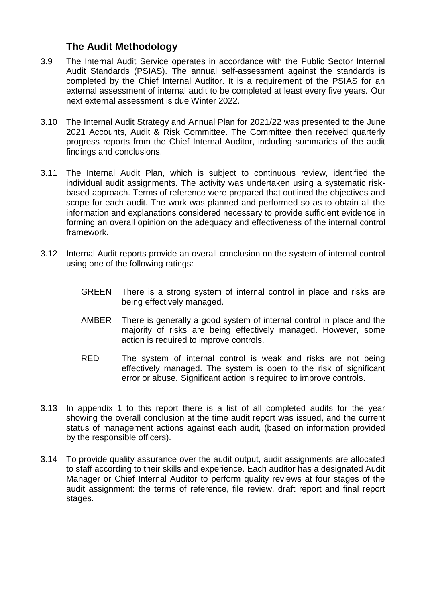## **The Audit Methodology**

- 3.9 The Internal Audit Service operates in accordance with the Public Sector Internal Audit Standards (PSIAS). The annual self-assessment against the standards is completed by the Chief Internal Auditor. It is a requirement of the PSIAS for an external assessment of internal audit to be completed at least every five years. Our next external assessment is due Winter 2022.
- 3.10 The Internal Audit Strategy and Annual Plan for 2021/22 was presented to the June 2021 Accounts, Audit & Risk Committee. The Committee then received quarterly progress reports from the Chief Internal Auditor, including summaries of the audit findings and conclusions.
- 3.11 The Internal Audit Plan, which is subject to continuous review, identified the individual audit assignments. The activity was undertaken using a systematic riskbased approach. Terms of reference were prepared that outlined the objectives and scope for each audit. The work was planned and performed so as to obtain all the information and explanations considered necessary to provide sufficient evidence in forming an overall opinion on the adequacy and effectiveness of the internal control framework.
- 3.12 Internal Audit reports provide an overall conclusion on the system of internal control using one of the following ratings:
	- GREEN There is a strong system of internal control in place and risks are being effectively managed.
	- AMBER There is generally a good system of internal control in place and the majority of risks are being effectively managed. However, some action is required to improve controls.
	- RED The system of internal control is weak and risks are not being effectively managed. The system is open to the risk of significant error or abuse. Significant action is required to improve controls.
- 3.13 In appendix 1 to this report there is a list of all completed audits for the year showing the overall conclusion at the time audit report was issued, and the current status of management actions against each audit, (based on information provided by the responsible officers).
- 3.14 To provide quality assurance over the audit output, audit assignments are allocated to staff according to their skills and experience. Each auditor has a designated Audit Manager or Chief Internal Auditor to perform quality reviews at four stages of the audit assignment: the terms of reference, file review, draft report and final report stages.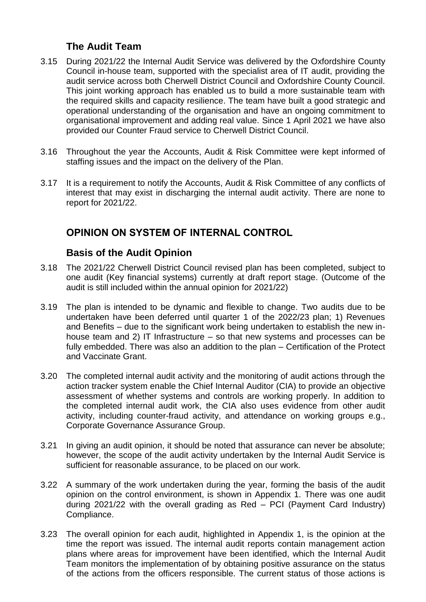## **The Audit Team**

- 3.15 During 2021/22 the Internal Audit Service was delivered by the Oxfordshire County Council in-house team, supported with the specialist area of IT audit, providing the audit service across both Cherwell District Council and Oxfordshire County Council. This joint working approach has enabled us to build a more sustainable team with the required skills and capacity resilience. The team have built a good strategic and operational understanding of the organisation and have an ongoing commitment to organisational improvement and adding real value. Since 1 April 2021 we have also provided our Counter Fraud service to Cherwell District Council.
- 3.16 Throughout the year the Accounts, Audit & Risk Committee were kept informed of staffing issues and the impact on the delivery of the Plan.
- 3.17 It is a requirement to notify the Accounts, Audit & Risk Committee of any conflicts of interest that may exist in discharging the internal audit activity. There are none to report for 2021/22.

## **OPINION ON SYSTEM OF INTERNAL CONTROL**

### **Basis of the Audit Opinion**

- 3.18 The 2021/22 Cherwell District Council revised plan has been completed, subject to one audit (Key financial systems) currently at draft report stage. (Outcome of the audit is still included within the annual opinion for 2021/22)
- 3.19 The plan is intended to be dynamic and flexible to change. Two audits due to be undertaken have been deferred until quarter 1 of the 2022/23 plan; 1) Revenues and Benefits – due to the significant work being undertaken to establish the new inhouse team and 2) IT Infrastructure – so that new systems and processes can be fully embedded. There was also an addition to the plan – Certification of the Protect and Vaccinate Grant.
- 3.20 The completed internal audit activity and the monitoring of audit actions through the action tracker system enable the Chief Internal Auditor (CIA) to provide an objective assessment of whether systems and controls are working properly. In addition to the completed internal audit work, the CIA also uses evidence from other audit activity, including counter-fraud activity, and attendance on working groups e.g., Corporate Governance Assurance Group.
- 3.21 In giving an audit opinion, it should be noted that assurance can never be absolute; however, the scope of the audit activity undertaken by the Internal Audit Service is sufficient for reasonable assurance, to be placed on our work.
- 3.22 A summary of the work undertaken during the year, forming the basis of the audit opinion on the control environment, is shown in Appendix 1. There was one audit during 2021/22 with the overall grading as Red – PCI (Payment Card Industry) Compliance.
- 3.23 The overall opinion for each audit, highlighted in Appendix 1, is the opinion at the time the report was issued. The internal audit reports contain management action plans where areas for improvement have been identified, which the Internal Audit Team monitors the implementation of by obtaining positive assurance on the status of the actions from the officers responsible. The current status of those actions is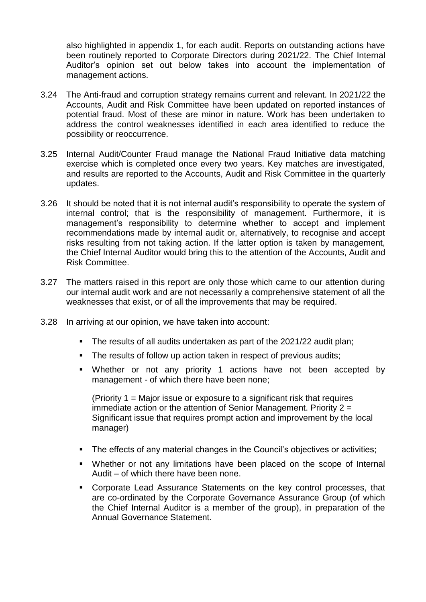also highlighted in appendix 1, for each audit. Reports on outstanding actions have been routinely reported to Corporate Directors during 2021/22. The Chief Internal Auditor's opinion set out below takes into account the implementation of management actions.

- 3.24 The Anti-fraud and corruption strategy remains current and relevant. In 2021/22 the Accounts, Audit and Risk Committee have been updated on reported instances of potential fraud. Most of these are minor in nature. Work has been undertaken to address the control weaknesses identified in each area identified to reduce the possibility or reoccurrence.
- 3.25 Internal Audit/Counter Fraud manage the National Fraud Initiative data matching exercise which is completed once every two years. Key matches are investigated, and results are reported to the Accounts, Audit and Risk Committee in the quarterly updates.
- 3.26 It should be noted that it is not internal audit's responsibility to operate the system of internal control; that is the responsibility of management. Furthermore, it is management's responsibility to determine whether to accept and implement recommendations made by internal audit or, alternatively, to recognise and accept risks resulting from not taking action. If the latter option is taken by management, the Chief Internal Auditor would bring this to the attention of the Accounts, Audit and Risk Committee.
- 3.27 The matters raised in this report are only those which came to our attention during our internal audit work and are not necessarily a comprehensive statement of all the weaknesses that exist, or of all the improvements that may be required.
- 3.28 In arriving at our opinion, we have taken into account:
	- The results of all audits undertaken as part of the 2021/22 audit plan;
	- The results of follow up action taken in respect of previous audits;
	- Whether or not any priority 1 actions have not been accepted by management - of which there have been none;

(Priority 1 = Major issue or exposure to a significant risk that requires immediate action or the attention of Senior Management. Priority 2 = Significant issue that requires prompt action and improvement by the local manager)

- The effects of any material changes in the Council's objectives or activities:
- Whether or not any limitations have been placed on the scope of Internal Audit – of which there have been none.
- Corporate Lead Assurance Statements on the key control processes, that are co-ordinated by the Corporate Governance Assurance Group (of which the Chief Internal Auditor is a member of the group), in preparation of the Annual Governance Statement.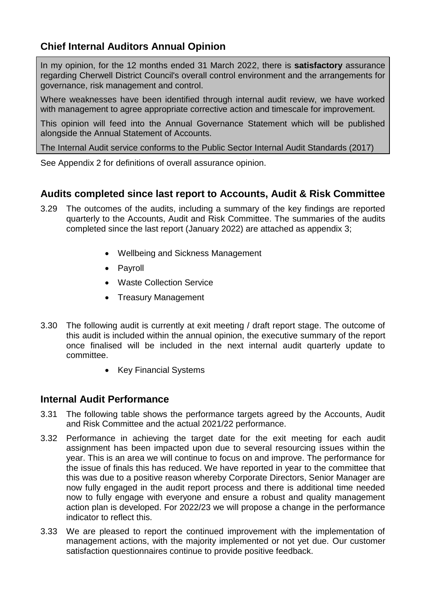# **Chief Internal Auditors Annual Opinion**

In my opinion, for the 12 months ended 31 March 2022, there is **satisfactory** assurance regarding Cherwell District Council's overall control environment and the arrangements for governance, risk management and control.

Where weaknesses have been identified through internal audit review, we have worked with management to agree appropriate corrective action and timescale for improvement.

This opinion will feed into the Annual Governance Statement which will be published alongside the Annual Statement of Accounts.

The Internal Audit service conforms to the Public Sector Internal Audit Standards (2017)

See Appendix 2 for definitions of overall assurance opinion.

## **Audits completed since last report to Accounts, Audit & Risk Committee**

- 3.29 The outcomes of the audits, including a summary of the key findings are reported quarterly to the Accounts, Audit and Risk Committee. The summaries of the audits completed since the last report (January 2022) are attached as appendix 3;
	- Wellbeing and Sickness Management
	- Pavroll
	- Waste Collection Service
	- Treasury Management
- 3.30 The following audit is currently at exit meeting / draft report stage. The outcome of this audit is included within the annual opinion, the executive summary of the report once finalised will be included in the next internal audit quarterly update to committee.
	- Key Financial Systems

### **Internal Audit Performance**

- 3.31 The following table shows the performance targets agreed by the Accounts, Audit and Risk Committee and the actual 2021/22 performance.
- 3.32 Performance in achieving the target date for the exit meeting for each audit assignment has been impacted upon due to several resourcing issues within the year. This is an area we will continue to focus on and improve. The performance for the issue of finals this has reduced. We have reported in year to the committee that this was due to a positive reason whereby Corporate Directors, Senior Manager are now fully engaged in the audit report process and there is additional time needed now to fully engage with everyone and ensure a robust and quality management action plan is developed. For 2022/23 we will propose a change in the performance indicator to reflect this.
- 3.33 We are pleased to report the continued improvement with the implementation of management actions, with the majority implemented or not yet due. Our customer satisfaction questionnaires continue to provide positive feedback.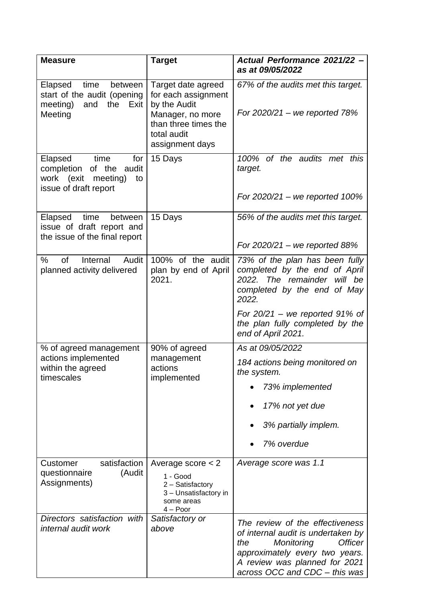| <b>Measure</b>                                                                                             | <b>Target</b>                                                                                                                           | Actual Performance 2021/22 -<br>as at 09/05/2022                                                                                                                                                                                    |
|------------------------------------------------------------------------------------------------------------|-----------------------------------------------------------------------------------------------------------------------------------------|-------------------------------------------------------------------------------------------------------------------------------------------------------------------------------------------------------------------------------------|
| time<br>Elapsed<br>between<br>start of the audit (opening<br>meeting)<br>and<br>the Exit<br>Meeting        | Target date agreed<br>for each assignment<br>by the Audit<br>Manager, no more<br>than three times the<br>total audit<br>assignment days | 67% of the audits met this target.<br>For $2020/21 -$ we reported 78%                                                                                                                                                               |
| Elapsed<br>time<br>for<br>completion of the audit<br>work (exit<br>meeting)<br>to<br>issue of draft report | 15 Days                                                                                                                                 | of the audits met this<br>100%<br>target.<br>For $2020/21$ – we reported 100%                                                                                                                                                       |
| time<br>Elapsed<br>between<br>issue of draft report and<br>the issue of the final report                   | 15 Days                                                                                                                                 | 56% of the audits met this target.<br>For $2020/21$ – we reported 88%                                                                                                                                                               |
| $\%$<br><b>of</b><br>Internal<br>Audit<br>planned activity delivered                                       | 100% of the audit<br>plan by end of April<br>2021.                                                                                      | 73% of the plan has been fully<br>completed by the end of April<br>2022. The remainder will be<br>completed by the end of May<br>2022.<br>For $20/21$ – we reported 91% of<br>the plan fully completed by the<br>end of April 2021. |
| % of agreed management<br>actions implemented<br>within the agreed<br>timescales                           | 90% of agreed<br>management<br>actions<br>implemented                                                                                   | As at 09/05/2022<br>184 actions being monitored on<br>the system.<br>73% implemented<br>17% not yet due<br>3% partially implem.<br>7% overdue                                                                                       |
| satisfaction<br>Customer<br>(Audit<br>questionnaire<br>Assignments)                                        | Average score $<$ 2<br>1 - Good<br>2 - Satisfactory<br>3 - Unsatisfactory in<br>some areas<br>$4 - Poor$                                | Average score was 1.1                                                                                                                                                                                                               |
| Directors satisfaction with<br>internal audit work                                                         | Satisfactory or<br>above                                                                                                                | The review of the effectiveness<br>of internal audit is undertaken by<br><b>Officer</b><br>the<br>Monitoring<br>approximately every two years.<br>A review was planned for 2021<br>across OCC and CDC - this was                    |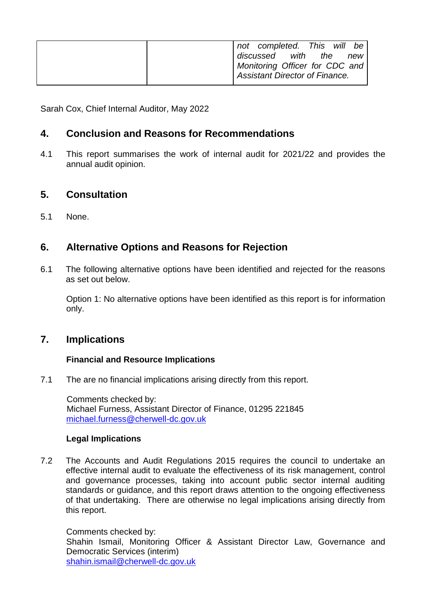| will<br>not completed. This<br>be |
|-----------------------------------|
| with<br>the<br>discussed<br>new   |
| Monitoring Officer for CDC and    |
| Assistant Director of Finance.    |

Sarah Cox, Chief Internal Auditor, May 2022

### **4. Conclusion and Reasons for Recommendations**

4.1 This report summarises the work of internal audit for 2021/22 and provides the annual audit opinion.

### **5. Consultation**

5.1 None.

## **6. Alternative Options and Reasons for Rejection**

6.1 The following alternative options have been identified and rejected for the reasons as set out below.

Option 1: No alternative options have been identified as this report is for information only.

### **7. Implications**

#### **Financial and Resource Implications**

7.1 The are no financial implications arising directly from this report.

Comments checked by: Michael Furness, Assistant Director of Finance, 01295 221845 [michael.furness@cherwell-dc.gov.uk](mailto:michael.furness@cherwell-dc.gov.uk)

#### **Legal Implications**

7.2 The Accounts and Audit Regulations 2015 requires the council to undertake an effective internal audit to evaluate the effectiveness of its risk management, control and governance processes, taking into account public sector internal auditing standards or guidance, and this report draws attention to the ongoing effectiveness of that undertaking. There are otherwise no legal implications arising directly from this report.

Comments checked by: Shahin Ismail, Monitoring Officer & Assistant Director Law, Governance and Democratic Services (interim) [shahin.ismail@cherwell-dc.gov.uk](mailto:shahin.ismail@cherwell-dc.gov.uk)